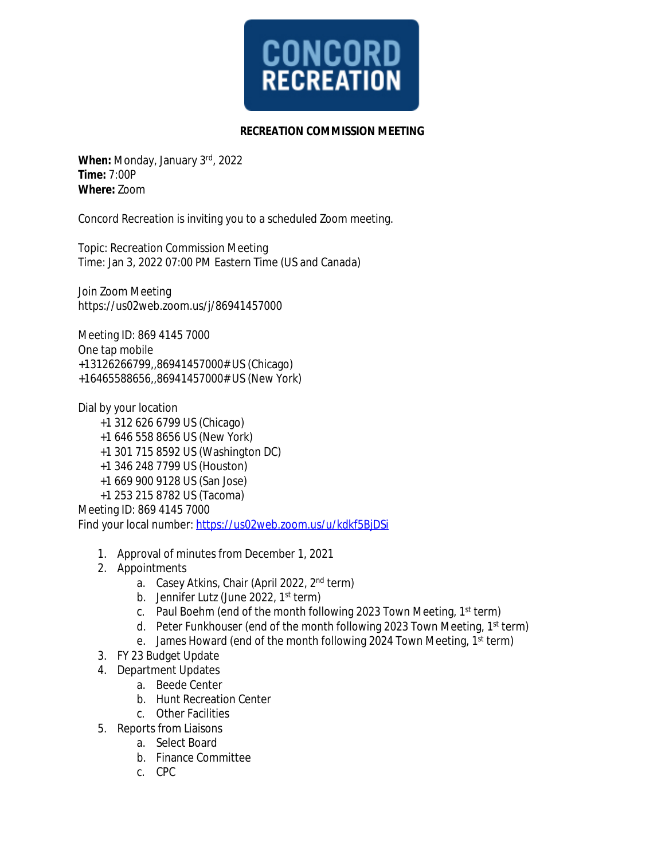

## **RECREATION COMMISSION MEETING**

**When:** Monday, January 3rd , 2022 **Time:** 7:00P **Where:** Zoom

Concord Recreation is inviting you to a scheduled Zoom meeting.

Topic: Recreation Commission Meeting Time: Jan 3, 2022 07:00 PM Eastern Time (US and Canada)

Join Zoom Meeting https://us02web.zoom.us/j/86941457000

Meeting ID: 869 4145 7000 One tap mobile +13126266799,,86941457000# US (Chicago) +16465588656,,86941457000# US (New York)

Dial by your location

- +1 312 626 6799 US (Chicago)
- +1 646 558 8656 US (New York)
- +1 301 715 8592 US (Washington DC)
- +1 346 248 7799 US (Houston)
- +1 669 900 9128 US (San Jose)
- +1 253 215 8782 US (Tacoma)

Meeting ID: 869 4145 7000

Find your local number: <https://us02web.zoom.us/u/kdkf5BjDSi>

- 1. Approval of minutes from December 1, 2021
- 2. Appointments
	- a. Casey Atkins, Chair (April 2022, 2nd term)
	- b. Jennifer Lutz (June 2022, 1<sup>st</sup> term)
	- c. Paul Boehm (end of the month following 2023 Town Meeting, 1st term)
	- d. Peter Funkhouser (end of the month following 2023 Town Meeting, 1<sup>st</sup> term)
	- e. James Howard (end of the month following 2024 Town Meeting, 1st term)
- 3. FY 23 Budget Update
- 4. Department Updates
	- a. Beede Center
	- b. Hunt Recreation Center
	- c. Other Facilities
- 5. Reports from Liaisons
	- a. Select Board
	- b. Finance Committee
	- c. CPC